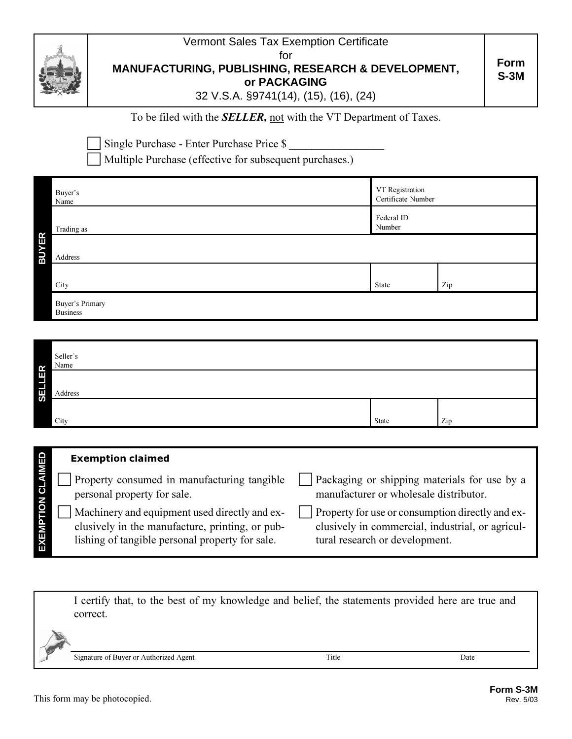

Vermont Sales Tax Exemption Certificate for **MANUFACTURING, PUBLISHING, RESEARCH & DEVELOPMENT,**

**or PACKAGING**

32 V.S.A. §9741(14), (15), (16), (24)

## To be filed with the **SELLER**, not with the VT Department of Taxes.

Single Purchase - Enter Purchase Price \$

Multiple Purchase (effective for subsequent purchases.)

| Buyer's<br>Name                    | VT Registration<br>Certificate Number |     |  |
|------------------------------------|---------------------------------------|-----|--|
| Trading as                         | Federal ID<br>Number                  |     |  |
| Address                            |                                       |     |  |
| City                               | State                                 | Zip |  |
| Buyer's Primary<br><b>Business</b> |                                       |     |  |

|               | Seller's<br>Name |       |     |  |
|---------------|------------------|-------|-----|--|
| <b>SELLER</b> | Address          |       |     |  |
|               | City             | State | Zip |  |

|                    | <b>Exemption claimed</b>                                                                                                                            |                                                                                                                                                |
|--------------------|-----------------------------------------------------------------------------------------------------------------------------------------------------|------------------------------------------------------------------------------------------------------------------------------------------------|
|                    | Property consumed in manufacturing tangible<br>personal property for sale.                                                                          | Packaging or shipping materials for use by a<br>manufacturer or wholesale distributor.                                                         |
| EXEMP <sup>-</sup> | Machinery and equipment used directly and ex-<br>clusively in the manufacture, printing, or pub-<br>lishing of tangible personal property for sale. | $\vert$ Property for use or consumption directly and ex-<br>clusively in commercial, industrial, or agricul-<br>tural research or development. |

I certify that, to the best of my knowledge and belief, the statements provided here are true and correct.

Signature of Buyer or Authorized Agent Ti

Title Date